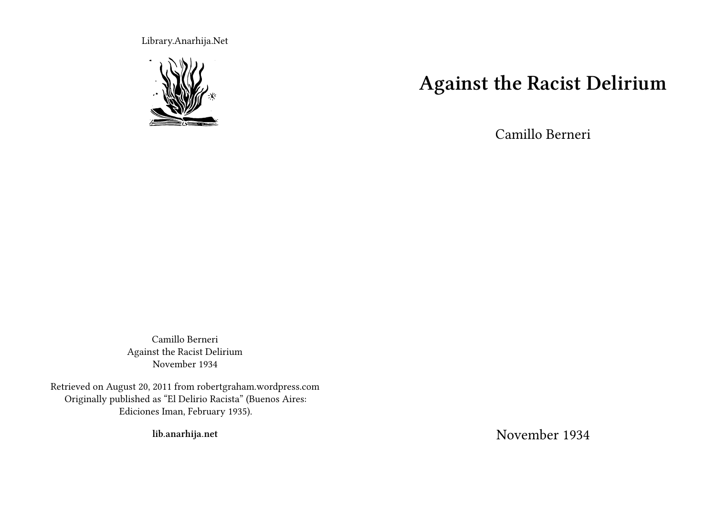Library.Anarhija.Net



# **Against the Racist Delirium**

Camillo Berneri

Camillo Berneri Against the Racist Delirium November 1934

Retrieved on August 20, 2011 from robertgraham.wordpress.com Originally published as "El Delirio Racista" (Buenos Aires: Ediciones Iman, February 1935).

**lib.anarhija.net**

November 1934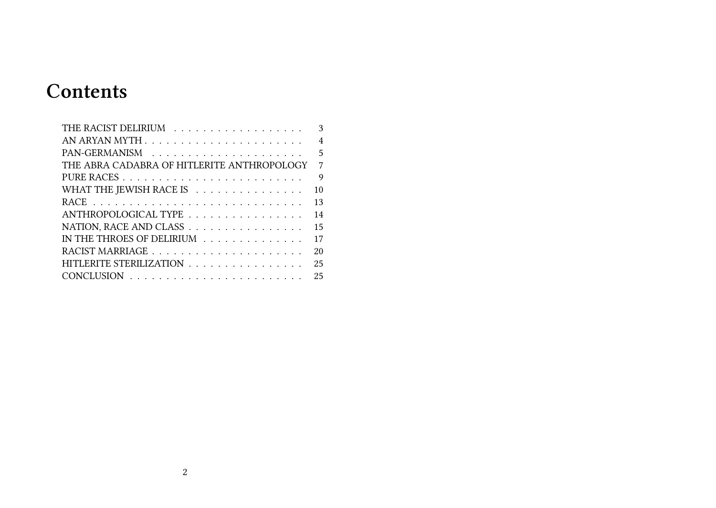# **Contents**

|                                            | 3              |
|--------------------------------------------|----------------|
|                                            | $\overline{4}$ |
|                                            | 5              |
| THE ABRA CADABRA OF HITLERITE ANTHROPOLOGY | $\overline{7}$ |
|                                            | 9              |
| WHAT THE JEWISH RACE IS                    | 10             |
|                                            | 13             |
| ANTHROPOLOGICAL TYPE                       | 14             |
| NATION, RACE AND CLASS                     | 15             |
| IN THE THROES OF DELIRIUM                  | 17             |
|                                            | 20             |
| HITLERITE STERILIZATION                    | 25             |
|                                            | 25             |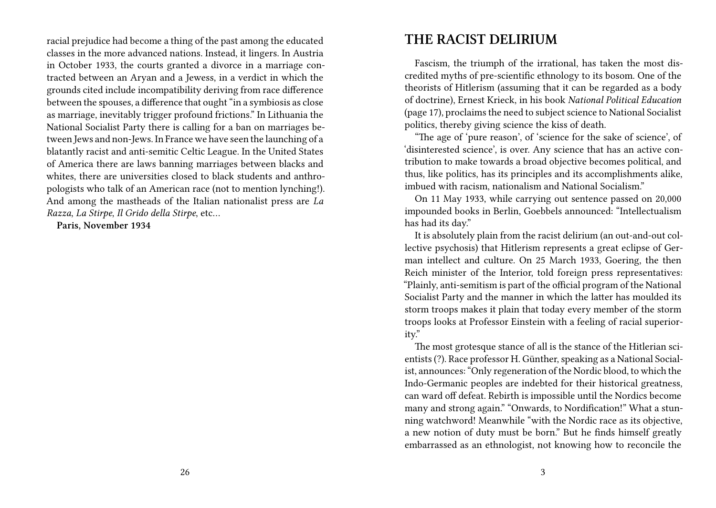racial prejudice had become a thing of the past among the educated classes in the more advanced nations. Instead, it lingers. In Austria in October 1933, the courts granted a divorce in a marriage contracted between an Aryan and a Jewess, in a verdict in which the grounds cited include incompatibility deriving from race difference between the spouses, a difference that ought "in a symbiosis as close as marriage, inevitably trigger profound frictions." In Lithuania the National Socialist Party there is calling for a ban on marriages between Jews and non-Jews. In France we have seen the launching of a blatantly racist and anti-semitic Celtic League. In the United States of America there are laws banning marriages between blacks and whites, there are universities closed to black students and anthropologists who talk of an American race (not to mention lynching!). And among the mastheads of the Italian nationalist press are *La Razza*, *La Stirpe*, *Il Grido della Stirpe*, etc…

**Paris, November 1934**

### **THE RACIST DELIRIUM**

Fascism, the triumph of the irrational, has taken the most discredited myths of pre-scientific ethnology to its bosom. One of the theorists of Hitlerism (assuming that it can be regarded as a body of doctrine), Ernest Krieck, in his book *National Political Education* (page 17), proclaims the need to subject science to National Socialist politics, thereby giving science the kiss of death.

"The age of 'pure reason', of 'science for the sake of science', of 'disinterested science', is over. Any science that has an active contribution to make towards a broad objective becomes political, and thus, like politics, has its principles and its accomplishments alike, imbued with racism, nationalism and National Socialism."

On 11 May 1933, while carrying out sentence passed on 20,000 impounded books in Berlin, Goebbels announced: "Intellectualism has had its day."

It is absolutely plain from the racist delirium (an out-and-out collective psychosis) that Hitlerism represents a great eclipse of German intellect and culture. On 25 March 1933, Goering, the then Reich minister of the Interior, told foreign press representatives: "Plainly, anti-semitism is part of the official program of the National Socialist Party and the manner in which the latter has moulded its storm troops makes it plain that today every member of the storm troops looks at Professor Einstein with a feeling of racial superiority."

The most grotesque stance of all is the stance of the Hitlerian scientists (?). Race professor H. Günther, speaking as a National Socialist, announces: "Only regeneration of the Nordic blood, to which the Indo-Germanic peoples are indebted for their historical greatness, can ward off defeat. Rebirth is impossible until the Nordics become many and strong again." "Onwards, to Nordification!" What a stunning watchword! Meanwhile "with the Nordic race as its objective, a new notion of duty must be born." But he finds himself greatly embarrassed as an ethnologist, not knowing how to reconcile the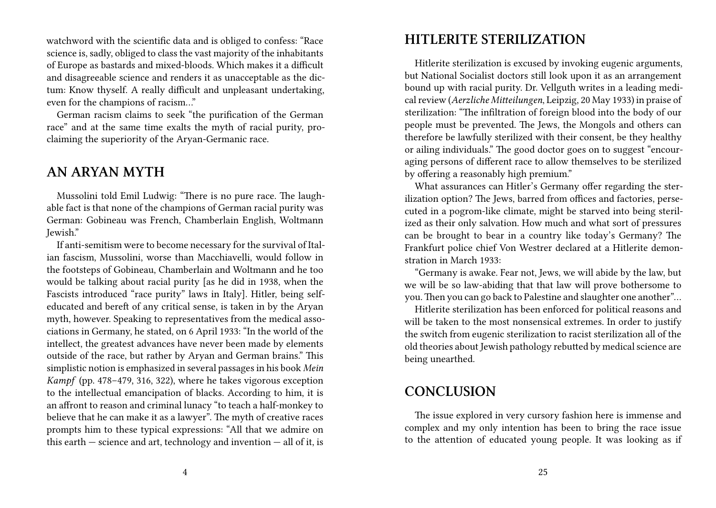watchword with the scientific data and is obliged to confess: "Race science is, sadly, obliged to class the vast majority of the inhabitants of Europe as bastards and mixed-bloods. Which makes it a difficult and disagreeable science and renders it as unacceptable as the dictum: Know thyself. A really difficult and unpleasant undertaking, even for the champions of racism…"

German racism claims to seek "the purification of the German race" and at the same time exalts the myth of racial purity, proclaiming the superiority of the Aryan-Germanic race.

#### **AN ARYAN MYTH**

Mussolini told Emil Ludwig: "There is no pure race. The laughable fact is that none of the champions of German racial purity was German: Gobineau was French, Chamberlain English, Woltmann Jewish."

If anti-semitism were to become necessary for the survival of Italian fascism, Mussolini, worse than Macchiavelli, would follow in the footsteps of Gobineau, Chamberlain and Woltmann and he too would be talking about racial purity [as he did in 1938, when the Fascists introduced "race purity" laws in Italy]. Hitler, being selfeducated and bereft of any critical sense, is taken in by the Aryan myth, however. Speaking to representatives from the medical associations in Germany, he stated, on 6 April 1933: "In the world of the intellect, the greatest advances have never been made by elements outside of the race, but rather by Aryan and German brains." This simplistic notion is emphasized in several passages in his book *Mein Kampf* (pp. 478–479, 316, 322), where he takes vigorous exception to the intellectual emancipation of blacks. According to him, it is an affront to reason and criminal lunacy "to teach a half-monkey to believe that he can make it as a lawyer". The myth of creative races prompts him to these typical expressions: "All that we admire on this earth  $-$  science and art, technology and invention  $-$  all of it, is

### **HITLERITE STERILIZATION**

Hitlerite sterilization is excused by invoking eugenic arguments, but National Socialist doctors still look upon it as an arrangement bound up with racial purity. Dr. Vellguth writes in a leading medical review (*Aerzliche Mitteilungen*, Leipzig, 20 May 1933) in praise of sterilization: "The infiltration of foreign blood into the body of our people must be prevented. The Jews, the Mongols and others can therefore be lawfully sterilized with their consent, be they healthy or ailing individuals." The good doctor goes on to suggest "encouraging persons of different race to allow themselves to be sterilized by offering a reasonably high premium."

What assurances can Hitler's Germany offer regarding the sterilization option? The Jews, barred from offices and factories, persecuted in a pogrom-like climate, might be starved into being sterilized as their only salvation. How much and what sort of pressures can be brought to bear in a country like today's Germany? The Frankfurt police chief Von Westrer declared at a Hitlerite demonstration in March 1933:

"Germany is awake. Fear not, Jews, we will abide by the law, but we will be so law-abiding that that law will prove bothersome to you.Then you can go back to Palestine and slaughter one another"…

Hitlerite sterilization has been enforced for political reasons and will be taken to the most nonsensical extremes. In order to justify the switch from eugenic sterilization to racist sterilization all of the old theories about Jewish pathology rebutted by medical science are being unearthed.

#### **CONCLUSION**

The issue explored in very cursory fashion here is immense and complex and my only intention has been to bring the race issue to the attention of educated young people. It was looking as if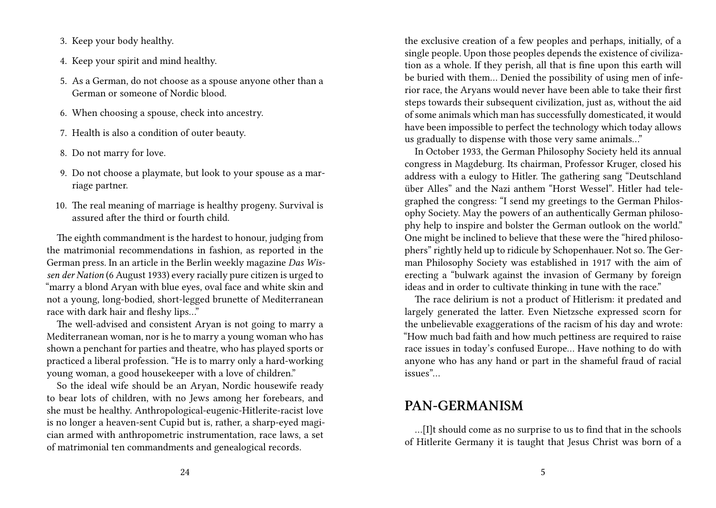3. Keep your body healthy.

- 4. Keep your spirit and mind healthy.
- 5. As a German, do not choose as a spouse anyone other than a German or someone of Nordic blood.
- 6. When choosing a spouse, check into ancestry.
- 7. Health is also a condition of outer beauty.
- 8. Do not marry for love.
- 9. Do not choose a playmate, but look to your spouse as a marriage partner.
- 10. The real meaning of marriage is healthy progeny. Survival is assured after the third or fourth child.

The eighth commandment is the hardest to honour, judging from the matrimonial recommendations in fashion, as reported in the German press. In an article in the Berlin weekly magazine *Das Wissen der Nation* (6 August 1933) every racially pure citizen is urged to "marry a blond Aryan with blue eyes, oval face and white skin and not a young, long-bodied, short-legged brunette of Mediterranean race with dark hair and fleshy lips…"

The well-advised and consistent Aryan is not going to marry a Mediterranean woman, nor is he to marry a young woman who has shown a penchant for parties and theatre, who has played sports or practiced a liberal profession. "He is to marry only a hard-working young woman, a good housekeeper with a love of children."

So the ideal wife should be an Aryan, Nordic housewife ready to bear lots of children, with no Jews among her forebears, and she must be healthy. Anthropological-eugenic-Hitlerite-racist love is no longer a heaven-sent Cupid but is, rather, a sharp-eyed magician armed with anthropometric instrumentation, race laws, a set of matrimonial ten commandments and genealogical records.

the exclusive creation of a few peoples and perhaps, initially, of a single people. Upon those peoples depends the existence of civilization as a whole. If they perish, all that is fine upon this earth will be buried with them… Denied the possibility of using men of inferior race, the Aryans would never have been able to take their first steps towards their subsequent civilization, just as, without the aid of some animals which man has successfully domesticated, it would have been impossible to perfect the technology which today allows us gradually to dispense with those very same animals…"

In October 1933, the German Philosophy Society held its annual congress in Magdeburg. Its chairman, Professor Kruger, closed his address with a eulogy to Hitler. The gathering sang "Deutschland über Alles" and the Nazi anthem "Horst Wessel". Hitler had telegraphed the congress: "I send my greetings to the German Philosophy Society. May the powers of an authentically German philosophy help to inspire and bolster the German outlook on the world." One might be inclined to believe that these were the "hired philosophers" rightly held up to ridicule by Schopenhauer. Not so. The German Philosophy Society was established in 1917 with the aim of erecting a "bulwark against the invasion of Germany by foreign ideas and in order to cultivate thinking in tune with the race."

The race delirium is not a product of Hitlerism: it predated and largely generated the latter. Even Nietzsche expressed scorn for the unbelievable exaggerations of the racism of his day and wrote: "How much bad faith and how much pettiness are required to raise race issues in today's confused Europe… Have nothing to do with anyone who has any hand or part in the shameful fraud of racial issues"…

#### **PAN-GERMANISM**

…[I]t should come as no surprise to us to find that in the schools of Hitlerite Germany it is taught that Jesus Christ was born of a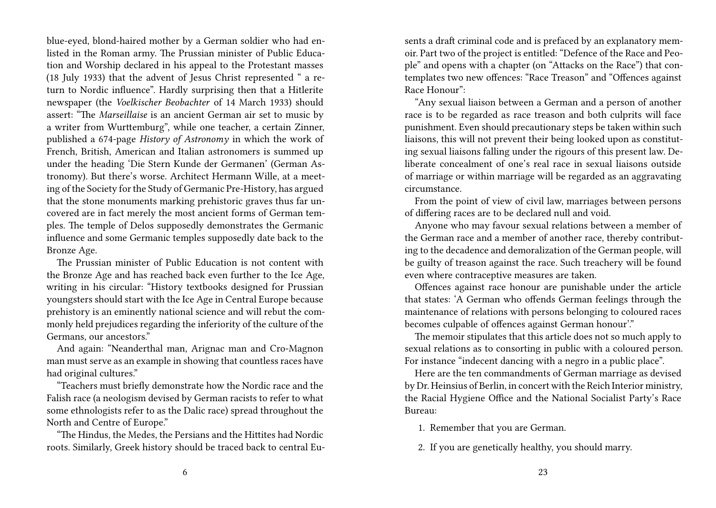blue-eyed, blond-haired mother by a German soldier who had enlisted in the Roman army. The Prussian minister of Public Education and Worship declared in his appeal to the Protestant masses (18 July 1933) that the advent of Jesus Christ represented " a return to Nordic influence". Hardly surprising then that a Hitlerite newspaper (the *Voelkischer Beobachter* of 14 March 1933) should assert: "The *Marseillaise* is an ancient German air set to music by a writer from Wurttemburg", while one teacher, a certain Zinner, published a 674-page *History of Astronomy* in which the work of French, British, American and Italian astronomers is summed up under the heading 'Die Stern Kunde der Germanen' (German Astronomy). But there's worse. Architect Hermann Wille, at a meeting of the Society for the Study of Germanic Pre-History, has argued that the stone monuments marking prehistoric graves thus far uncovered are in fact merely the most ancient forms of German temples. The temple of Delos supposedly demonstrates the Germanic influence and some Germanic temples supposedly date back to the Bronze Age.

The Prussian minister of Public Education is not content with the Bronze Age and has reached back even further to the Ice Age, writing in his circular: "History textbooks designed for Prussian youngsters should start with the Ice Age in Central Europe because prehistory is an eminently national science and will rebut the commonly held prejudices regarding the inferiority of the culture of the Germans, our ancestors."

And again: "Neanderthal man, Arignac man and Cro-Magnon man must serve as an example in showing that countless races have had original cultures."

"Teachers must briefly demonstrate how the Nordic race and the Falish race (a neologism devised by German racists to refer to what some ethnologists refer to as the Dalic race) spread throughout the North and Centre of Europe."

"The Hindus, the Medes, the Persians and the Hittites had Nordic roots. Similarly, Greek history should be traced back to central Eusents a draft criminal code and is prefaced by an explanatory memoir. Part two of the project is entitled: "Defence of the Race and People" and opens with a chapter (on "Attacks on the Race") that contemplates two new offences: "Race Treason" and "Offences against Race Honour":

"Any sexual liaison between a German and a person of another race is to be regarded as race treason and both culprits will face punishment. Even should precautionary steps be taken within such liaisons, this will not prevent their being looked upon as constituting sexual liaisons falling under the rigours of this present law. Deliberate concealment of one's real race in sexual liaisons outside of marriage or within marriage will be regarded as an aggravating circumstance.

From the point of view of civil law, marriages between persons of differing races are to be declared null and void.

Anyone who may favour sexual relations between a member of the German race and a member of another race, thereby contributing to the decadence and demoralization of the German people, will be guilty of treason against the race. Such treachery will be found even where contraceptive measures are taken.

Offences against race honour are punishable under the article that states: 'A German who offends German feelings through the maintenance of relations with persons belonging to coloured races becomes culpable of offences against German honour'."

The memoir stipulates that this article does not so much apply to sexual relations as to consorting in public with a coloured person. For instance "indecent dancing with a negro in a public place".

Here are the ten commandments of German marriage as devised by Dr. Heinsius of Berlin, in concert with the Reich Interior ministry, the Racial Hygiene Office and the National Socialist Party's Race Bureau:

1. Remember that you are German.

2. If you are genetically healthy, you should marry.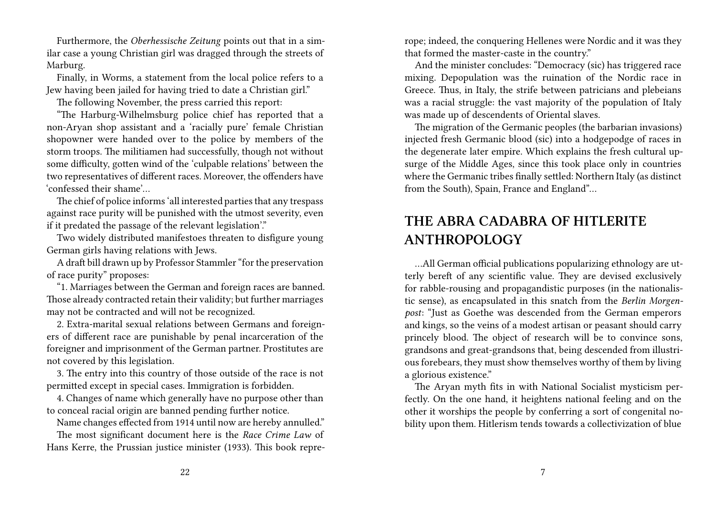Furthermore, the *Oberhessische Zeitung* points out that in a similar case a young Christian girl was dragged through the streets of Marburg.

Finally, in Worms, a statement from the local police refers to a Jew having been jailed for having tried to date a Christian girl."

The following November, the press carried this report:

"The Harburg-Wilhelmsburg police chief has reported that a non-Aryan shop assistant and a 'racially pure' female Christian shopowner were handed over to the police by members of the storm troops. The militiamen had successfully, though not without some difficulty, gotten wind of the 'culpable relations' between the two representatives of different races. Moreover, the offenders have 'confessed their shame'…

The chief of police informs 'all interested parties that any trespass against race purity will be punished with the utmost severity, even if it predated the passage of the relevant legislation'."

Two widely distributed manifestoes threaten to disfigure young German girls having relations with Jews.

A draft bill drawn up by Professor Stammler "for the preservation of race purity" proposes:

"1. Marriages between the German and foreign races are banned. Those already contracted retain their validity; but further marriages may not be contracted and will not be recognized.

2. Extra-marital sexual relations between Germans and foreigners of different race are punishable by penal incarceration of the foreigner and imprisonment of the German partner. Prostitutes are not covered by this legislation.

3. The entry into this country of those outside of the race is not permitted except in special cases. Immigration is forbidden.

4. Changes of name which generally have no purpose other than to conceal racial origin are banned pending further notice.

Name changes effected from 1914 until now are hereby annulled."

The most significant document here is the *Race Crime Law* of Hans Kerre, the Prussian justice minister (1933). This book reprerope; indeed, the conquering Hellenes were Nordic and it was they that formed the master-caste in the country."

And the minister concludes: "Democracy (sic) has triggered race mixing. Depopulation was the ruination of the Nordic race in Greece. Thus, in Italy, the strife between patricians and plebeians was a racial struggle: the vast majority of the population of Italy was made up of descendents of Oriental slaves.

The migration of the Germanic peoples (the barbarian invasions) injected fresh Germanic blood (sic) into a hodgepodge of races in the degenerate later empire. Which explains the fresh cultural upsurge of the Middle Ages, since this took place only in countries where the Germanic tribes finally settled: Northern Italy (as distinct from the South), Spain, France and England"…

# **THE ABRA CADABRA OF HITLERITE ANTHROPOLOGY**

…All German official publications popularizing ethnology are utterly bereft of any scientific value. They are devised exclusively for rabble-rousing and propagandistic purposes (in the nationalistic sense), as encapsulated in this snatch from the *Berlin Morgenpost*: "Just as Goethe was descended from the German emperors and kings, so the veins of a modest artisan or peasant should carry princely blood. The object of research will be to convince sons, grandsons and great-grandsons that, being descended from illustrious forebears, they must show themselves worthy of them by living a glorious existence."

The Aryan myth fits in with National Socialist mysticism perfectly. On the one hand, it heightens national feeling and on the other it worships the people by conferring a sort of congenital nobility upon them. Hitlerism tends towards a collectivization of blue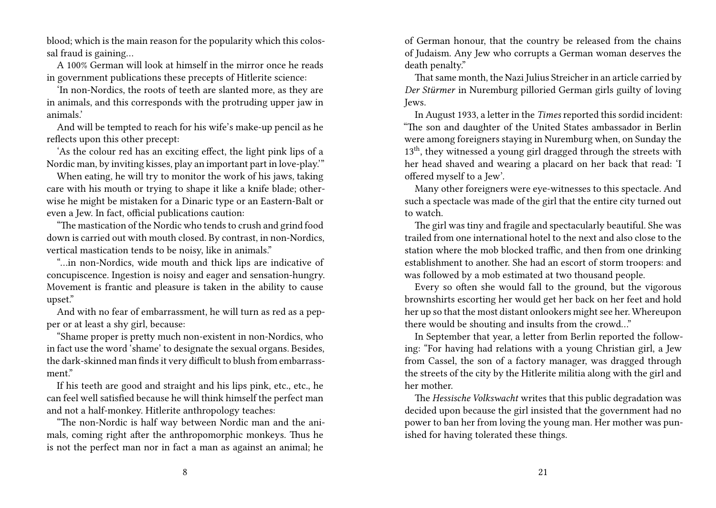blood; which is the main reason for the popularity which this colossal fraud is gaining…

A 100% German will look at himself in the mirror once he reads in government publications these precepts of Hitlerite science:

'In non-Nordics, the roots of teeth are slanted more, as they are in animals, and this corresponds with the protruding upper jaw in animals.'

And will be tempted to reach for his wife's make-up pencil as he reflects upon this other precept:

'As the colour red has an exciting effect, the light pink lips of a Nordic man, by inviting kisses, play an important part in love-play.'"

When eating, he will try to monitor the work of his jaws, taking care with his mouth or trying to shape it like a knife blade; otherwise he might be mistaken for a Dinaric type or an Eastern-Balt or even a Jew. In fact, official publications caution:

"The mastication of the Nordic who tends to crush and grind food down is carried out with mouth closed. By contrast, in non-Nordics, vertical mastication tends to be noisy, like in animals."

"…in non-Nordics, wide mouth and thick lips are indicative of concupiscence. Ingestion is noisy and eager and sensation-hungry. Movement is frantic and pleasure is taken in the ability to cause upset."

And with no fear of embarrassment, he will turn as red as a pepper or at least a shy girl, because:

"Shame proper is pretty much non-existent in non-Nordics, who in fact use the word 'shame' to designate the sexual organs. Besides, the dark-skinned man finds it very difficult to blush from embarrassment"

If his teeth are good and straight and his lips pink, etc., etc., he can feel well satisfied because he will think himself the perfect man and not a half-monkey. Hitlerite anthropology teaches:

"The non-Nordic is half way between Nordic man and the animals, coming right after the anthropomorphic monkeys. Thus he is not the perfect man nor in fact a man as against an animal; he

of German honour, that the country be released from the chains of Judaism. Any Jew who corrupts a German woman deserves the death penalty."

That same month, the Nazi Julius Streicher in an article carried by *Der Stürmer* in Nuremburg pilloried German girls guilty of loving Jews.

In August 1933, a letter in the *Times* reported this sordid incident: "The son and daughter of the United States ambassador in Berlin were among foreigners staying in Nuremburg when, on Sunday the 13<sup>th</sup>, they witnessed a young girl dragged through the streets with her head shaved and wearing a placard on her back that read: 'I offered myself to a Jew'.

Many other foreigners were eye-witnesses to this spectacle. And such a spectacle was made of the girl that the entire city turned out to watch.

The girl was tiny and fragile and spectacularly beautiful. She was trailed from one international hotel to the next and also close to the station where the mob blocked traffic, and then from one drinking establishment to another. She had an escort of storm troopers: and was followed by a mob estimated at two thousand people.

Every so often she would fall to the ground, but the vigorous brownshirts escorting her would get her back on her feet and hold her up so that the most distant onlookers might see her. Whereupon there would be shouting and insults from the crowd…"

In September that year, a letter from Berlin reported the following: "For having had relations with a young Christian girl, a Jew from Cassel, the son of a factory manager, was dragged through the streets of the city by the Hitlerite militia along with the girl and her mother.

The *Hessische Volkswacht* writes that this public degradation was decided upon because the girl insisted that the government had no power to ban her from loving the young man. Her mother was punished for having tolerated these things.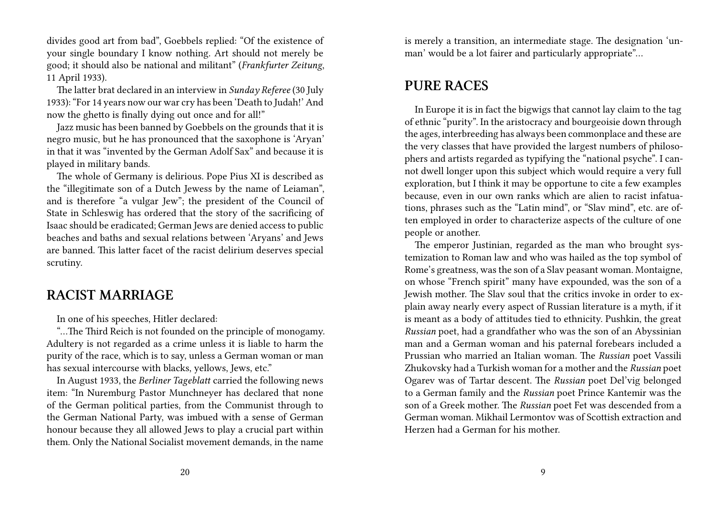divides good art from bad", Goebbels replied: "Of the existence of your single boundary I know nothing. Art should not merely be good; it should also be national and militant" (*Frankfurter Zeitung*, 11 April 1933).

The latter brat declared in an interview in *Sunday Referee* (30 July 1933): "For 14 years now our war cry has been 'Death to Judah!' And now the ghetto is finally dying out once and for all!"

Jazz music has been banned by Goebbels on the grounds that it is negro music, but he has pronounced that the saxophone is 'Aryan' in that it was "invented by the German Adolf Sax" and because it is played in military bands.

The whole of Germany is delirious. Pope Pius XI is described as the "illegitimate son of a Dutch Jewess by the name of Leiaman", and is therefore "a vulgar Jew"; the president of the Council of State in Schleswig has ordered that the story of the sacrificing of Isaac should be eradicated; German Jews are denied access to public beaches and baths and sexual relations between 'Aryans' and Jews are banned. This latter facet of the racist delirium deserves special scrutiny.

#### **RACIST MARRIAGE**

In one of his speeches, Hitler declared:

"…The Third Reich is not founded on the principle of monogamy. Adultery is not regarded as a crime unless it is liable to harm the purity of the race, which is to say, unless a German woman or man has sexual intercourse with blacks, yellows, Jews, etc."

In August 1933, the *Berliner Tageblatt* carried the following news item: "In Nuremburg Pastor Munchneyer has declared that none of the German political parties, from the Communist through to the German National Party, was imbued with a sense of German honour because they all allowed Jews to play a crucial part within them. Only the National Socialist movement demands, in the name is merely a transition, an intermediate stage. The designation 'unman' would be a lot fairer and particularly appropriate"…

#### **PURE RACES**

In Europe it is in fact the bigwigs that cannot lay claim to the tag of ethnic "purity". In the aristocracy and bourgeoisie down through the ages, interbreeding has always been commonplace and these are the very classes that have provided the largest numbers of philosophers and artists regarded as typifying the "national psyche". I cannot dwell longer upon this subject which would require a very full exploration, but I think it may be opportune to cite a few examples because, even in our own ranks which are alien to racist infatuations, phrases such as the "Latin mind", or "Slav mind", etc. are often employed in order to characterize aspects of the culture of one people or another.

The emperor Justinian, regarded as the man who brought systemization to Roman law and who was hailed as the top symbol of Rome's greatness, was the son of a Slav peasant woman. Montaigne, on whose "French spirit" many have expounded, was the son of a Jewish mother. The Slav soul that the critics invoke in order to explain away nearly every aspect of Russian literature is a myth, if it is meant as a body of attitudes tied to ethnicity. Pushkin, the great *Russian* poet, had a grandfather who was the son of an Abyssinian man and a German woman and his paternal forebears included a Prussian who married an Italian woman. The *Russian* poet Vassili Zhukovsky had a Turkish woman for a mother and the *Russian* poet Ogarev was of Tartar descent. The *Russian* poet Del'vig belonged to a German family and the *Russian* poet Prince Kantemir was the son of a Greek mother. The *Russian* poet Fet was descended from a German woman. Mikhail Lermontov was of Scottish extraction and Herzen had a German for his mother.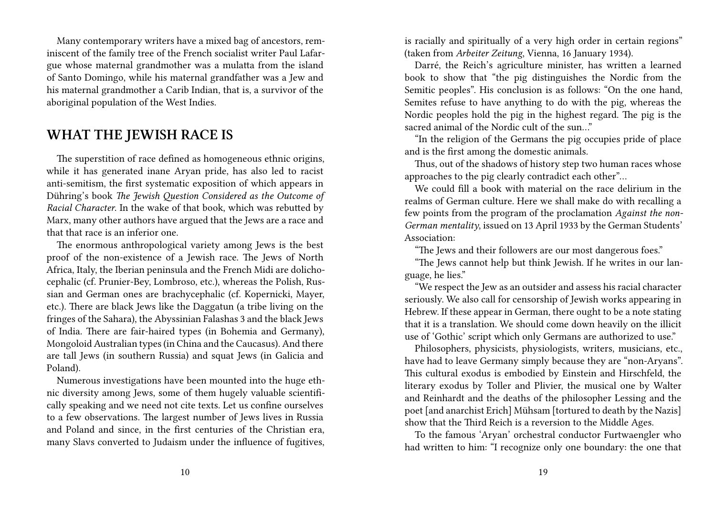Many contemporary writers have a mixed bag of ancestors, reminiscent of the family tree of the French socialist writer Paul Lafargue whose maternal grandmother was a mulatta from the island of Santo Domingo, while his maternal grandfather was a Jew and his maternal grandmother a Carib Indian, that is, a survivor of the aboriginal population of the West Indies.

#### **WHAT THE JEWISH RACE IS**

The superstition of race defined as homogeneous ethnic origins, while it has generated inane Aryan pride, has also led to racist anti-semitism, the first systematic exposition of which appears in Dühring's book *The Jewish Question Considered as the Outcome of Racial Character*. In the wake of that book, which was rebutted by Marx, many other authors have argued that the Jews are a race and that that race is an inferior one.

The enormous anthropological variety among Jews is the best proof of the non-existence of a Jewish race. The Jews of North Africa, Italy, the Iberian peninsula and the French Midi are dolichocephalic (cf. Prunier-Bey, Lombroso, etc.), whereas the Polish, Russian and German ones are brachycephalic (cf. Kopernicki, Mayer, etc.). There are black Jews like the Daggatun (a tribe living on the fringes of the Sahara), the Abyssinian Falashas 3 and the black Jews of India. There are fair-haired types (in Bohemia and Germany), Mongoloid Australian types (in China and the Caucasus). And there are tall Jews (in southern Russia) and squat Jews (in Galicia and Poland).

Numerous investigations have been mounted into the huge ethnic diversity among Jews, some of them hugely valuable scientifically speaking and we need not cite texts. Let us confine ourselves to a few observations. The largest number of Jews lives in Russia and Poland and since, in the first centuries of the Christian era, many Slavs converted to Judaism under the influence of fugitives,

is racially and spiritually of a very high order in certain regions" (taken from *Arbeiter Zeitung*, Vienna, 16 January 1934).

Darré, the Reich's agriculture minister, has written a learned book to show that "the pig distinguishes the Nordic from the Semitic peoples". His conclusion is as follows: "On the one hand, Semites refuse to have anything to do with the pig, whereas the Nordic peoples hold the pig in the highest regard. The pig is the sacred animal of the Nordic cult of the sun…"

"In the religion of the Germans the pig occupies pride of place and is the first among the domestic animals.

Thus, out of the shadows of history step two human races whose approaches to the pig clearly contradict each other"…

We could fill a book with material on the race delirium in the realms of German culture. Here we shall make do with recalling a few points from the program of the proclamation *Against the non-German mentality*, issued on 13 April 1933 by the German Students' Association:

"The Jews and their followers are our most dangerous foes."

"The Jews cannot help but think Jewish. If he writes in our language, he lies."

"We respect the Jew as an outsider and assess his racial character seriously. We also call for censorship of Jewish works appearing in Hebrew. If these appear in German, there ought to be a note stating that it is a translation. We should come down heavily on the illicit use of 'Gothic' script which only Germans are authorized to use."

Philosophers, physicists, physiologists, writers, musicians, etc., have had to leave Germany simply because they are "non-Aryans". This cultural exodus is embodied by Einstein and Hirschfeld, the literary exodus by Toller and Plivier, the musical one by Walter and Reinhardt and the deaths of the philosopher Lessing and the poet [and anarchist Erich] Mühsam [tortured to death by the Nazis] show that the Third Reich is a reversion to the Middle Ages.

To the famous 'Aryan' orchestral conductor Furtwaengler who had written to him: "I recognize only one boundary: the one that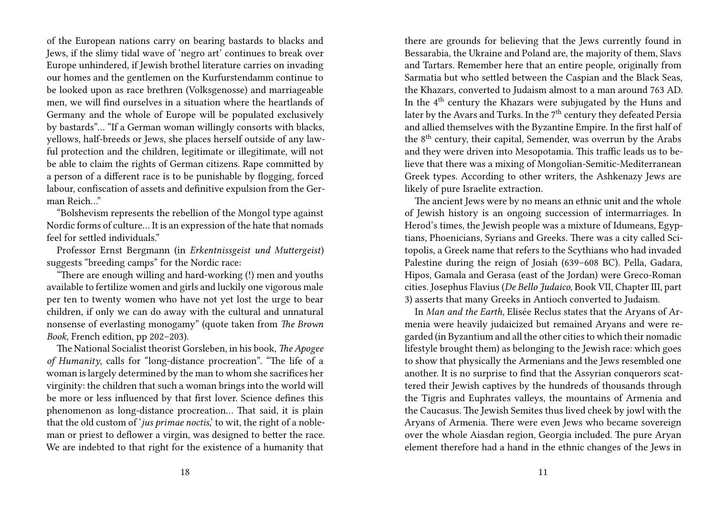of the European nations carry on bearing bastards to blacks and Jews, if the slimy tidal wave of 'negro art' continues to break over Europe unhindered, if Jewish brothel literature carries on invading our homes and the gentlemen on the Kurfurstendamm continue to be looked upon as race brethren (Volksgenosse) and marriageable men, we will find ourselves in a situation where the heartlands of Germany and the whole of Europe will be populated exclusively by bastards"… "If a German woman willingly consorts with blacks, yellows, half-breeds or Jews, she places herself outside of any lawful protection and the children, legitimate or illegitimate, will not be able to claim the rights of German citizens. Rape committed by a person of a different race is to be punishable by flogging, forced labour, confiscation of assets and definitive expulsion from the German Reich…"

"Bolshevism represents the rebellion of the Mongol type against Nordic forms of culture… It is an expression of the hate that nomads feel for settled individuals."

Professor Ernst Bergmann (in *Erkentnissgeist und Muttergeist*) suggests "breeding camps" for the Nordic race:

"There are enough willing and hard-working (!) men and youths available to fertilize women and girls and luckily one vigorous male per ten to twenty women who have not yet lost the urge to bear children, if only we can do away with the cultural and unnatural nonsense of everlasting monogamy" (quote taken from *The Brown Book*, French edition, pp 202–203).

The National Socialist theorist Gorsleben, in his book, *The Apogee of Humanity*, calls for "long-distance procreation". "The life of a woman is largely determined by the man to whom she sacrifices her virginity: the children that such a woman brings into the world will be more or less influenced by that first lover. Science defines this phenomenon as long-distance procreation… That said, it is plain that the old custom of '*jus primae noctis*,' to wit, the right of a nobleman or priest to deflower a virgin, was designed to better the race. We are indebted to that right for the existence of a humanity that

there are grounds for believing that the Jews currently found in Bessarabia, the Ukraine and Poland are, the majority of them, Slavs and Tartars. Remember here that an entire people, originally from Sarmatia but who settled between the Caspian and the Black Seas, the Khazars, converted to Judaism almost to a man around 763 AD. In the 4<sup>th</sup> century the Khazars were subjugated by the Huns and later by the Avars and Turks. In the 7<sup>th</sup> century they defeated Persia and allied themselves with the Byzantine Empire. In the first half of the 8<sup>th</sup> century, their capital, Semender, was overrun by the Arabs and they were driven into Mesopotamia. This traffic leads us to believe that there was a mixing of Mongolian-Semitic-Mediterranean Greek types. According to other writers, the Ashkenazy Jews are likely of pure Israelite extraction.

The ancient Jews were by no means an ethnic unit and the whole of Jewish history is an ongoing succession of intermarriages. In Herod's times, the Jewish people was a mixture of Idumeans, Egyptians, Phoenicians, Syrians and Greeks. There was a city called Scitopolis, a Greek name that refers to the Scythians who had invaded Palestine during the reign of Josiah (639–608 BC). Pella, Gadara, Hipos, Gamala and Gerasa (east of the Jordan) were Greco-Roman cities. Josephus Flavius (*De Bello Judaico*, Book VII, Chapter III, part 3) asserts that many Greeks in Antioch converted to Judaism.

In *Man and the Earth*, Elisée Reclus states that the Aryans of Armenia were heavily judaicized but remained Aryans and were regarded (in Byzantium and all the other cities to which their nomadic lifestyle brought them) as belonging to the Jewish race: which goes to show that physically the Armenians and the Jews resembled one another. It is no surprise to find that the Assyrian conquerors scattered their Jewish captives by the hundreds of thousands through the Tigris and Euphrates valleys, the mountains of Armenia and the Caucasus. The Jewish Semites thus lived cheek by jowl with the Aryans of Armenia. There were even Jews who became sovereign over the whole Aiasdan region, Georgia included. The pure Aryan element therefore had a hand in the ethnic changes of the Jews in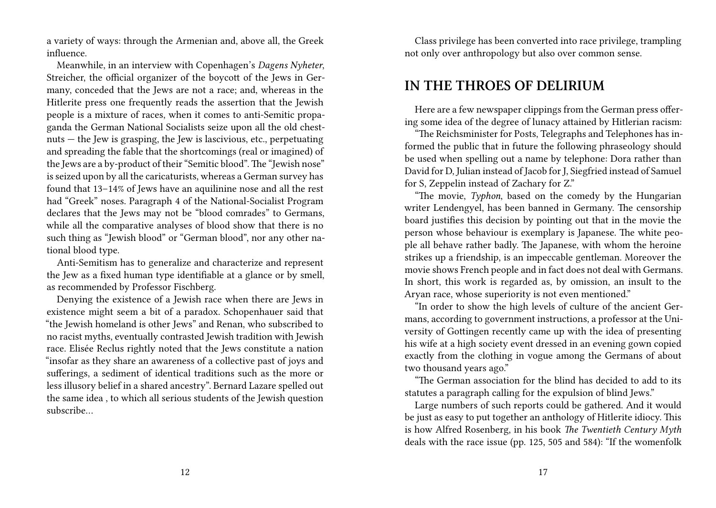a variety of ways: through the Armenian and, above all, the Greek influence.

Meanwhile, in an interview with Copenhagen's *Dagens Nyheter*, Streicher, the official organizer of the boycott of the Jews in Germany, conceded that the Jews are not a race; and, whereas in the Hitlerite press one frequently reads the assertion that the Jewish people is a mixture of races, when it comes to anti-Semitic propaganda the German National Socialists seize upon all the old chestnuts — the Jew is grasping, the Jew is lascivious, etc., perpetuating and spreading the fable that the shortcomings (real or imagined) of the Jews are a by-product of their "Semitic blood". The "Jewish nose" is seized upon by all the caricaturists, whereas a German survey has found that 13–14% of Jews have an aquilinine nose and all the rest had "Greek" noses. Paragraph 4 of the National-Socialist Program declares that the Jews may not be "blood comrades" to Germans, while all the comparative analyses of blood show that there is no such thing as "Jewish blood" or "German blood", nor any other national blood type.

Anti-Semitism has to generalize and characterize and represent the Jew as a fixed human type identifiable at a glance or by smell, as recommended by Professor Fischberg.

Denying the existence of a Jewish race when there are Jews in existence might seem a bit of a paradox. Schopenhauer said that "the Jewish homeland is other Jews" and Renan, who subscribed to no racist myths, eventually contrasted Jewish tradition with Jewish race. Elisée Reclus rightly noted that the Jews constitute a nation "insofar as they share an awareness of a collective past of joys and sufferings, a sediment of identical traditions such as the more or less illusory belief in a shared ancestry". Bernard Lazare spelled out the same idea , to which all serious students of the Jewish question subscribe…

Class privilege has been converted into race privilege, trampling not only over anthropology but also over common sense.

#### **IN THE THROES OF DELIRIUM**

Here are a few newspaper clippings from the German press offering some idea of the degree of lunacy attained by Hitlerian racism:

"The Reichsminister for Posts, Telegraphs and Telephones has informed the public that in future the following phraseology should be used when spelling out a name by telephone: Dora rather than David for D, Julian instead of Jacob for J, Siegfried instead of Samuel for S, Zeppelin instead of Zachary for Z."

"The movie, *Typhon*, based on the comedy by the Hungarian writer Lendengyel, has been banned in Germany. The censorship board justifies this decision by pointing out that in the movie the person whose behaviour is exemplary is Japanese. The white people all behave rather badly. The Japanese, with whom the heroine strikes up a friendship, is an impeccable gentleman. Moreover the movie shows French people and in fact does not deal with Germans. In short, this work is regarded as, by omission, an insult to the Aryan race, whose superiority is not even mentioned."

"In order to show the high levels of culture of the ancient Germans, according to government instructions, a professor at the University of Gottingen recently came up with the idea of presenting his wife at a high society event dressed in an evening gown copied exactly from the clothing in vogue among the Germans of about two thousand years ago."

"The German association for the blind has decided to add to its statutes a paragraph calling for the expulsion of blind Jews."

Large numbers of such reports could be gathered. And it would be just as easy to put together an anthology of Hitlerite idiocy. This is how Alfred Rosenberg, in his book *The Twentieth Century Myth* deals with the race issue (pp. 125, 505 and 584): "If the womenfolk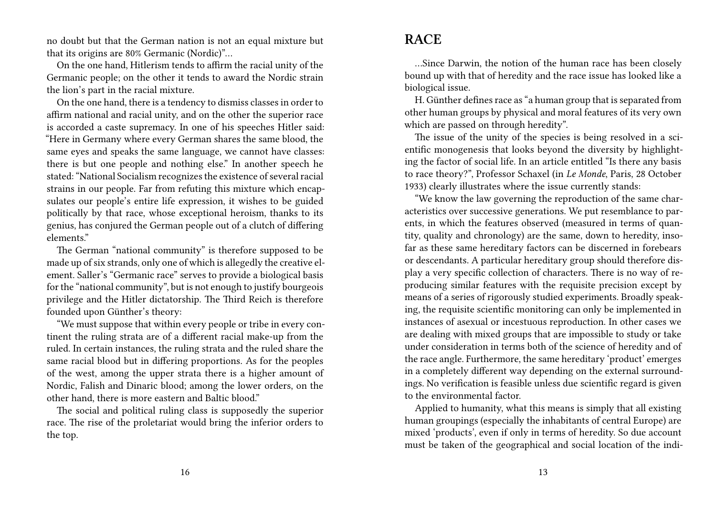no doubt but that the German nation is not an equal mixture but that its origins are 80% Germanic (Nordic)"…

On the one hand, Hitlerism tends to affirm the racial unity of the Germanic people; on the other it tends to award the Nordic strain the lion's part in the racial mixture.

On the one hand, there is a tendency to dismiss classes in order to affirm national and racial unity, and on the other the superior race is accorded a caste supremacy. In one of his speeches Hitler said: "Here in Germany where every German shares the same blood, the same eyes and speaks the same language, we cannot have classes: there is but one people and nothing else." In another speech he stated: "National Socialism recognizes the existence of several racial strains in our people. Far from refuting this mixture which encapsulates our people's entire life expression, it wishes to be guided politically by that race, whose exceptional heroism, thanks to its genius, has conjured the German people out of a clutch of differing elements."

The German "national community" is therefore supposed to be made up of six strands, only one of which is allegedly the creative element. Saller's "Germanic race" serves to provide a biological basis for the "national community", but is not enough to justify bourgeois privilege and the Hitler dictatorship. The Third Reich is therefore founded upon Günther's theory:

"We must suppose that within every people or tribe in every continent the ruling strata are of a different racial make-up from the ruled. In certain instances, the ruling strata and the ruled share the same racial blood but in differing proportions. As for the peoples of the west, among the upper strata there is a higher amount of Nordic, Falish and Dinaric blood; among the lower orders, on the other hand, there is more eastern and Baltic blood."

The social and political ruling class is supposedly the superior race. The rise of the proletariat would bring the inferior orders to the top.

## **RACE**

…Since Darwin, the notion of the human race has been closely bound up with that of heredity and the race issue has looked like a biological issue.

H. Günther defines race as "a human group that is separated from other human groups by physical and moral features of its very own which are passed on through heredity".

The issue of the unity of the species is being resolved in a scientific monogenesis that looks beyond the diversity by highlighting the factor of social life. In an article entitled "Is there any basis to race theory?", Professor Schaxel (in *Le Monde*, Paris, 28 October 1933) clearly illustrates where the issue currently stands:

"We know the law governing the reproduction of the same characteristics over successive generations. We put resemblance to parents, in which the features observed (measured in terms of quantity, quality and chronology) are the same, down to heredity, insofar as these same hereditary factors can be discerned in forebears or descendants. A particular hereditary group should therefore display a very specific collection of characters. There is no way of reproducing similar features with the requisite precision except by means of a series of rigorously studied experiments. Broadly speaking, the requisite scientific monitoring can only be implemented in instances of asexual or incestuous reproduction. In other cases we are dealing with mixed groups that are impossible to study or take under consideration in terms both of the science of heredity and of the race angle. Furthermore, the same hereditary 'product' emerges in a completely different way depending on the external surroundings. No verification is feasible unless due scientific regard is given to the environmental factor.

Applied to humanity, what this means is simply that all existing human groupings (especially the inhabitants of central Europe) are mixed 'products', even if only in terms of heredity. So due account must be taken of the geographical and social location of the indi